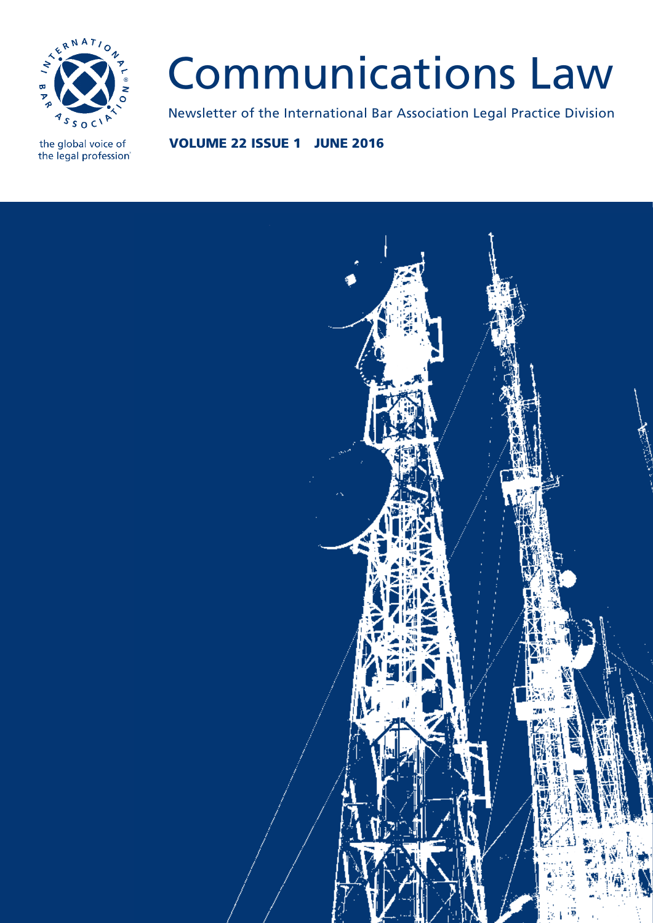

the global voice of the legal profession®

# Communications Law

Newsletter of the International Bar Association Legal Practice Division

VOLUME 22 ISSUE 1 JUNE 2016

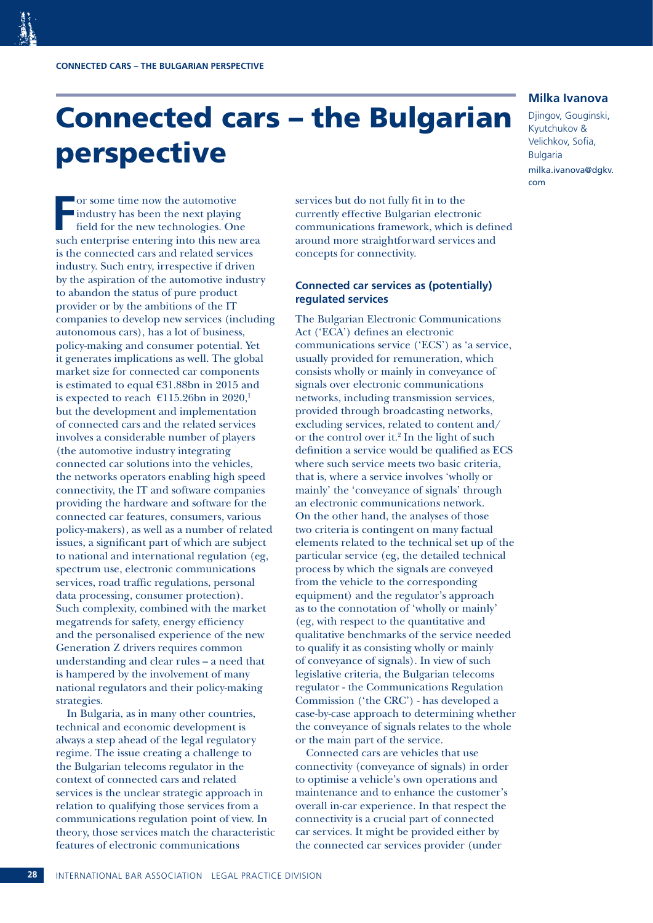## Connected cars – the Bulgarian perspective

**Milka Ivanova**

Djingov, Gouginski, Kyutchukov & Velichkov, Sofia, Bulgaria milka.ivanova@dgkv. com

**F** or some time now the automotive industry has been the next playing field for the new technologies. One such enterprise entering into this new area is the connected cars and related services industry. Such entry, irrespective if driven by the aspiration of the automotive industry to abandon the status of pure product provider or by the ambitions of the IT companies to develop new services (including autonomous cars), has a lot of business, policy-making and consumer potential. Yet it generates implications as well. The global market size for connected car components is estimated to equal €31.88bn in 2015 and is expected to reach  $\epsilon$ 115.26bn in 2020,<sup>1</sup> but the development and implementation of connected cars and the related services involves a considerable number of players (the automotive industry integrating connected car solutions into the vehicles, the networks operators enabling high speed connectivity, the IT and software companies providing the hardware and software for the connected car features, consumers, various policy-makers), as well as a number of related issues, a significant part of which are subject to national and international regulation (eg, spectrum use, electronic communications services, road traffic regulations, personal data processing, consumer protection). Such complexity, combined with the market megatrends for safety, energy efficiency and the personalised experience of the new Generation Z drivers requires common understanding and clear rules – a need that is hampered by the involvement of many national regulators and their policy-making strategies.

In Bulgaria, as in many other countries, technical and economic development is always a step ahead of the legal regulatory regime. The issue creating a challenge to the Bulgarian telecoms regulator in the context of connected cars and related services is the unclear strategic approach in relation to qualifying those services from a communications regulation point of view. In theory, those services match the characteristic features of electronic communications

services but do not fully fit in to the currently effective Bulgarian electronic communications framework, which is defined around more straightforward services and concepts for connectivity.

### **Connected car services as (potentially) regulated services**

The Bulgarian Electronic Communications Act ('ECA') defines an electronic communications service ('ECS') as 'a service, usually provided for remuneration, which consists wholly or mainly in conveyance of signals over electronic communications networks, including transmission services, provided through broadcasting networks, excluding services, related to content and/ or the control over it.<sup>2</sup> In the light of such definition a service would be qualified as ECS where such service meets two basic criteria, that is, where a service involves 'wholly or mainly' the 'conveyance of signals' through an electronic communications network. On the other hand, the analyses of those two criteria is contingent on many factual elements related to the technical set up of the particular service (eg, the detailed technical process by which the signals are conveyed from the vehicle to the corresponding equipment) and the regulator's approach as to the connotation of 'wholly or mainly' (eg, with respect to the quantitative and qualitative benchmarks of the service needed to qualify it as consisting wholly or mainly of conveyance of signals). In view of such legislative criteria, the Bulgarian telecoms regulator - the Communications Regulation Commission ('the CRC') - has developed a case-by-case approach to determining whether the conveyance of signals relates to the whole or the main part of the service.

Connected cars are vehicles that use connectivity (conveyance of signals) in order to optimise a vehicle's own operations and maintenance and to enhance the customer's overall in-car experience. In that respect the connectivity is a crucial part of connected car services. It might be provided either by the connected car services provider (under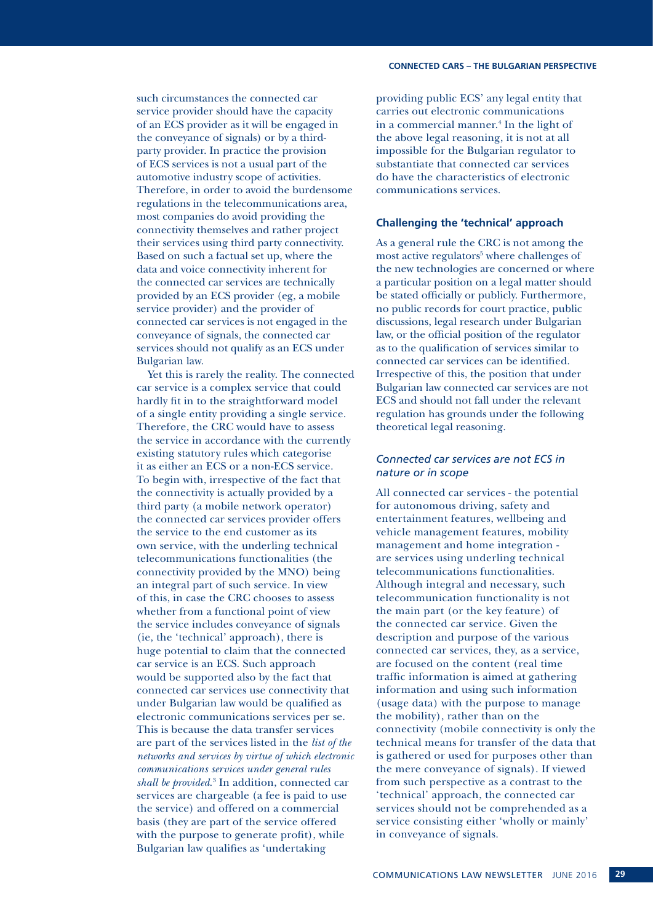**CONNECTED CARS – THE BULGARIAN PERSPECTIVE**

such circumstances the connected car service provider should have the capacity of an ECS provider as it will be engaged in the conveyance of signals) or by a thirdparty provider. In practice the provision of ECS services is not a usual part of the automotive industry scope of activities. Therefore, in order to avoid the burdensome regulations in the telecommunications area, most companies do avoid providing the connectivity themselves and rather project their services using third party connectivity. Based on such a factual set up, where the data and voice connectivity inherent for the connected car services are technically provided by an ECS provider (eg, a mobile service provider) and the provider of connected car services is not engaged in the conveyance of signals, the connected car services should not qualify as an ECS under Bulgarian law.

Yet this is rarely the reality. The connected car service is a complex service that could hardly fit in to the straightforward model of a single entity providing a single service. Therefore, the CRC would have to assess the service in accordance with the currently existing statutory rules which categorise it as either an ECS or a non-ECS service. To begin with, irrespective of the fact that the connectivity is actually provided by a third party (a mobile network operator) the connected car services provider offers the service to the end customer as its own service, with the underling technical telecommunications functionalities (the connectivity provided by the MNO) being an integral part of such service. In view of this, in case the CRC chooses to assess whether from a functional point of view the service includes conveyance of signals (ie, the 'technical' approach), there is huge potential to claim that the connected car service is an ECS. Such approach would be supported also by the fact that connected car services use connectivity that under Bulgarian law would be qualified as electronic communications services per se. This is because the data transfer services are part of the services listed in the *list of the networks and services by virtue of which electronic communications services under general rules shall be provided*. 3 In addition, connected car services are chargeable (a fee is paid to use the service) and offered on a commercial basis (they are part of the service offered with the purpose to generate profit), while Bulgarian law qualifies as 'undertaking

providing public ECS' any legal entity that carries out electronic communications in a commercial manner.<sup>4</sup> In the light of the above legal reasoning, it is not at all impossible for the Bulgarian regulator to substantiate that connected car services do have the characteristics of electronic communications services.

### **Challenging the 'technical' approach**

As a general rule the CRC is not among the most active regulators<sup>5</sup> where challenges of the new technologies are concerned or where a particular position on a legal matter should be stated officially or publicly. Furthermore, no public records for court practice, public discussions, legal research under Bulgarian law, or the official position of the regulator as to the qualification of services similar to connected car services can be identified. Irrespective of this, the position that under Bulgarian law connected car services are not ECS and should not fall under the relevant regulation has grounds under the following theoretical legal reasoning.

#### *Connected car services are not ECS in nature or in scope*

All connected car services - the potential for autonomous driving, safety and entertainment features, wellbeing and vehicle management features, mobility management and home integration are services using underling technical telecommunications functionalities. Although integral and necessary, such telecommunication functionality is not the main part (or the key feature) of the connected car service. Given the description and purpose of the various connected car services, they, as a service, are focused on the content (real time traffic information is aimed at gathering information and using such information (usage data) with the purpose to manage the mobility), rather than on the connectivity (mobile connectivity is only the technical means for transfer of the data that is gathered or used for purposes other than the mere conveyance of signals). If viewed from such perspective as a contrast to the 'technical' approach, the connected car services should not be comprehended as a service consisting either 'wholly or mainly' in conveyance of signals.